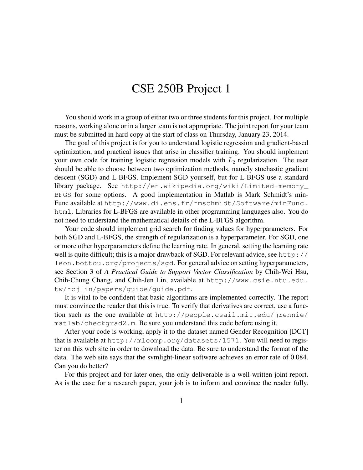## CSE 250B Project 1

You should work in a group of either two or three students for this project. For multiple reasons, working alone or in a larger team is not appropriate. The joint report for your team must be submitted in hard copy at the start of class on Thursday, January 23, 2014.

The goal of this project is for you to understand logistic regression and gradient-based optimization, and practical issues that arise in classifier training. You should implement your own code for training logistic regression models with  $L_2$  regularization. The user should be able to choose between two optimization methods, namely stochastic gradient descent (SGD) and L-BFGS. Implement SGD yourself, but for L-BFGS use a standard library package. See http://en.wikipedia.org/wiki/Limited-memory\_ BFGS for some options. A good implementation in Matlab is Mark Schmidt's min-Func available at http://www.di.ens.fr/~mschmidt/Software/minFunc. html. Libraries for L-BFGS are available in other programming languages also. You do not need to understand the mathematical details of the L-BFGS algorithm.

Your code should implement grid search for finding values for hyperparameters. For both SGD and L-BFGS, the strength of regularization is a hyperparameter. For SGD, one or more other hyperparameters define the learning rate. In general, setting the learning rate well is quite difficult; this is a major drawback of SGD. For relevant advice, see http:// leon.bottou.org/projects/sgd. For general advice on setting hyperparameters, see Section 3 of *A Practical Guide to Support Vector Classification* by Chih-Wei Hsu, Chih-Chung Chang, and Chih-Jen Lin, available at http://www.csie.ntu.edu. tw/˜cjlin/papers/guide/guide.pdf.

It is vital to be confident that basic algorithms are implemented correctly. The report must convince the reader that this is true. To verify that derivatives are correct, use a function such as the one available at http://people.csail.mit.edu/jrennie/ matlab/checkgrad2.m. Be sure you understand this code before using it.

After your code is working, apply it to the dataset named Gender Recognition [DCT] that is available at http://mlcomp.org/datasets/1571. You will need to register on this web site in order to download the data. Be sure to understand the format of the data. The web site says that the svmlight-linear software achieves an error rate of 0.084. Can you do better?

For this project and for later ones, the only deliverable is a well-written joint report. As is the case for a research paper, your job is to inform and convince the reader fully.